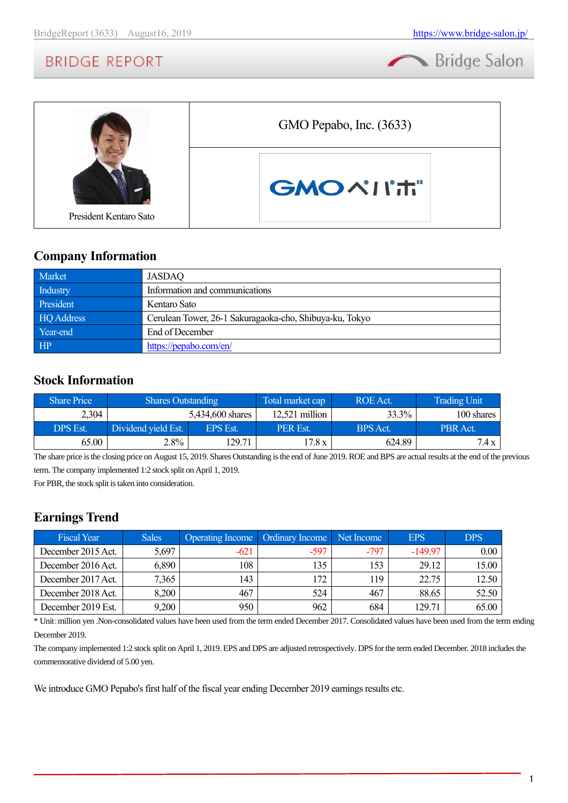Bridge Salon



### **Company Information**

| Market     | JASDAQ                                                  |
|------------|---------------------------------------------------------|
| Industry   | Information and communications                          |
| President  | Kentaro Sato                                            |
| HQ Address | Cerulean Tower, 26-1 Sakuragaoka-cho, Shibuya-ku, Tokyo |
| Year-end   | End of December                                         |
| HP         | https://pepabo.com/en/                                  |

### **Stock Information**

| <b>Share Price</b> | <b>Shares Outstanding</b> |                 | Total market cap | ROE Act.        | <b>Trading Unit</b> |
|--------------------|---------------------------|-----------------|------------------|-----------------|---------------------|
| 2,304              | 5.434,600 shares          |                 | $12,521$ million | 33.3%           | 100 shares          |
| DPS Est.           | Dividend yield Est.       | <b>EPS Est.</b> | PER Est.         | <b>BPS</b> Act. | PBR Act.            |
| 65.00              | 2.8%                      | 129.71          | 17.8 x           | 624.89          | 7.4 x               |

The share price is the closing price on August 15, 2019. Shares Outstanding is the end of June 2019. ROE and BPS are actual results at the end of the previous term. The company implemented 1:2 stock split on April 1, 2019.

For PBR, the stock split is taken into consideration.

# **Earnings Trend**

| <b>Fiscal Year</b> | <b>Sales</b> | <b>Operating Income</b> | <b>Ordinary Income</b> | Net Income | <b>EPS</b> | <b>DPS</b> |
|--------------------|--------------|-------------------------|------------------------|------------|------------|------------|
| December 2015 Act. | 5,697        | $-621$                  | $-597$                 | $-797$     | $-149.97$  | 0.00       |
| December 2016 Act. | 6,890        | 108                     | 135                    | 153        | 29.12      | 15.00      |
| December 2017 Act. | 7,365        | 143                     | 172                    | 119        | 22.75      | 12.50      |
| December 2018 Act. | 8,200        | 467                     | 524                    | 467        | 88.65      | 52.50      |
| December 2019 Est. | 9,200        | 950                     | 962                    | 684        | 129.71     | 65.00      |

\* Unit:million yen .Non-consolidated values have been used from the term ended December 2017. Consolidated values have been used from the term ending December 2019.

The company implemented 1:2 stock split on April 1, 2019. EPS and DPS are adjusted retrospectively. DPS for the term ended December. 2018 includes the commemorative dividend of 5.00 yen.

We introduce GMO Pepabo's first half of the fiscal year ending December 2019 earnings results etc.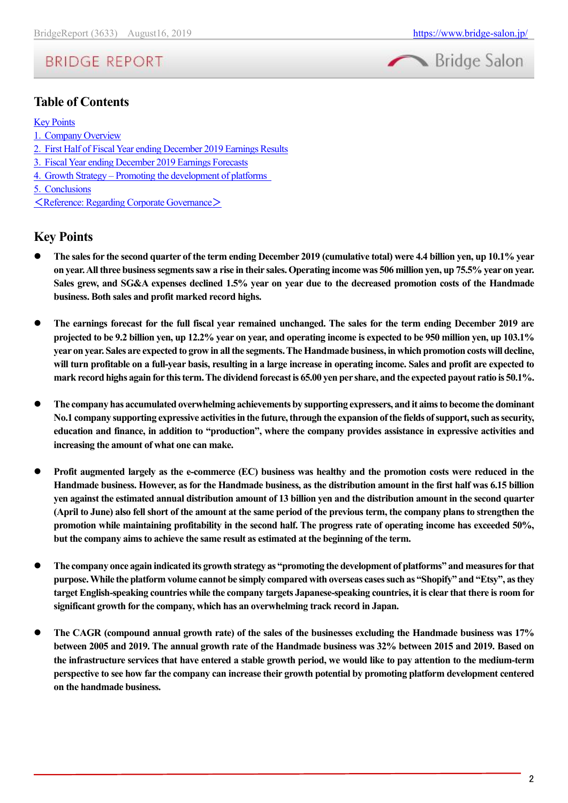

### **Table of Contents**

#### [Key Points](#page-1-0)

- 1.[Company Overview](#page-2-0)
- 2.[First Half of Fiscal Year ending December 2019 Earnings Results](#page-8-0)
- 3.[Fiscal Year ending December 2019 Earnings Forecasts](#page-12-0)
- 4.Growth Strategy [Promoting the development of platforms](#page-12-1)
- 5.[Conclusions](#page-15-0)
- <[Reference: Regarding Corporate Governance](#page-16-0)>

### <span id="page-1-0"></span>**Key Points**

- ⚫ **The sales for the second quarter of the term ending December 2019 (cumulative total) were 4.4 billion yen, up 10.1% year on year. All three business segments saw a rise in their sales. Operating income was 506 million yen, up 75.5% year on year. Sales grew, and SG&A expenses declined 1.5% year on year due to the decreased promotion costs of the Handmade business. Both sales and profit marked record highs.**
- ⚫ **The earnings forecast for the full fiscal year remained unchanged. The sales for the term ending December 2019 are projected to be 9.2 billion yen, up 12.2% year on year, and operating income is expected to be 950 million yen, up 103.1% year on year. Sales are expected to grow in allthe segments. The Handmade business, in which promotion costs will decline, will turn profitable on a full-year basis, resulting in a large increase in operating income. Sales and profit are expected to mark record highs again for this term. The dividend forecast is 65.00 yen per share, and the expected payout ratio is 50.1%.**
- ⚫ **The company has accumulated overwhelming achievements by supporting expressers, and it aims to become the dominant No.1 company supporting expressive activities in the future, through the expansion of the fields of support, such as security, education and finance, in addition to "production", where the company provides assistance in expressive activities and increasing the amount of what one can make.**
- ⚫ **Profit augmented largely as the e-commerce (EC) business was healthy and the promotion costs were reduced in the Handmade business. However, as for the Handmade business, as the distribution amount in the first half was 6.15 billion yen against the estimated annual distribution amount of 13 billion yen and the distribution amount in the second quarter (April to June) also fell short of the amount at the same period of the previous term, the company plans to strengthen the promotion while maintaining profitability in the second half. The progress rate of operating income has exceeded 50%, but the company aims to achieve the same result as estimated at the beginning of the term.**
- ⚫ **The company once again indicated its growth strategy as "promoting the development of platforms" and measures for that purpose. While the platform volume cannot be simply compared with overseas cases such as "Shopify" and "Etsy", as they target English-speaking countries while the company targets Japanese-speaking countries, it is clear that there is room for significant growth for the company, which has an overwhelming track record in Japan.**
- ⚫ **The CAGR (compound annual growth rate) of the sales of the businesses excluding the Handmade business was 17% between 2005 and 2019. The annual growth rate of the Handmade business was 32% between 2015 and 2019. Based on the infrastructure services that have entered a stable growth period, we would like to pay attention to the medium-term perspective to see how far the company can increase their growth potential by promoting platform development centered on the handmade business.**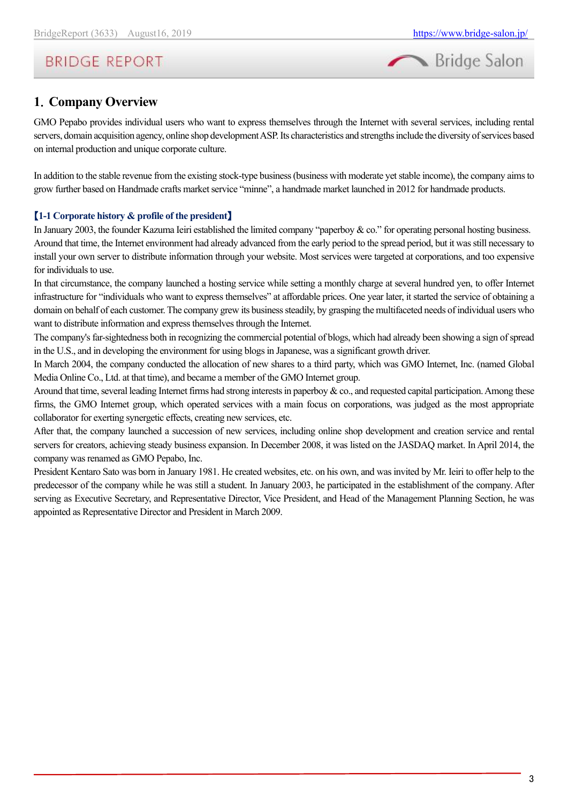

# <span id="page-2-0"></span>**1**.**Company Overview**

GMO Pepabo provides individual users who want to express themselves through the Internet with several services, including rental servers, domain acquisition agency, online shop development ASP. Its characteristics and strengths include the diversity of services based on internal production and unique corporate culture.

In addition to the stable revenue from the existing stock-type business (business with moderate yet stable income), the company aims to grow further based on Handmade crafts market service "minne", a handmade market launched in 2012 for handmade products.

#### 【**1-1 Corporate history & profile of the president**】

In January 2003, the founder Kazuma Ieiri established the limited company "paperboy & co." for operating personal hosting business. Around that time, the Internet environment had already advanced from the early period to the spread period, but it was still necessary to install your own server to distribute information through your website. Most services were targeted at corporations, and too expensive for individuals to use.

In that circumstance, the company launched a hosting service while setting a monthly charge at several hundred yen, to offer Internet infrastructure for "individuals who want to express themselves" at affordable prices. One year later, it started the service of obtaining a domain on behalf of each customer. The company grew its business steadily, by grasping the multifaceted needs of individual users who want to distribute information and express themselves through the Internet.

The company's far-sightedness both in recognizing the commercial potential of blogs, which had already been showing a sign of spread in the U.S., and in developing the environment for using blogs in Japanese, was a significant growth driver.

In March 2004, the company conducted the allocation of new shares to a third party, which was GMO Internet, Inc. (named Global Media Online Co., Ltd. at that time), and became a member of the GMO Internet group.

Around that time, several leading Internet firms had strong interests in paperboy & co., and requested capital participation. Among these firms, the GMO Internet group, which operated services with a main focus on corporations, was judged as the most appropriate collaborator for exerting synergetic effects, creating new services, etc.

After that, the company launched a succession of new services, including online shop development and creation service and rental servers for creators, achieving steady business expansion. In December 2008, it was listed on the JASDAQ market. In April 2014, the company was renamed as GMO Pepabo, Inc.

President Kentaro Sato was born in January 1981. He created websites, etc. on his own, and was invited by Mr. Ieiri to offer help to the predecessor of the company while he was still a student. In January 2003, he participated in the establishment of the company. After serving as Executive Secretary, and Representative Director, Vice President, and Head of the Management Planning Section, he was appointed as Representative Director and President in March 2009.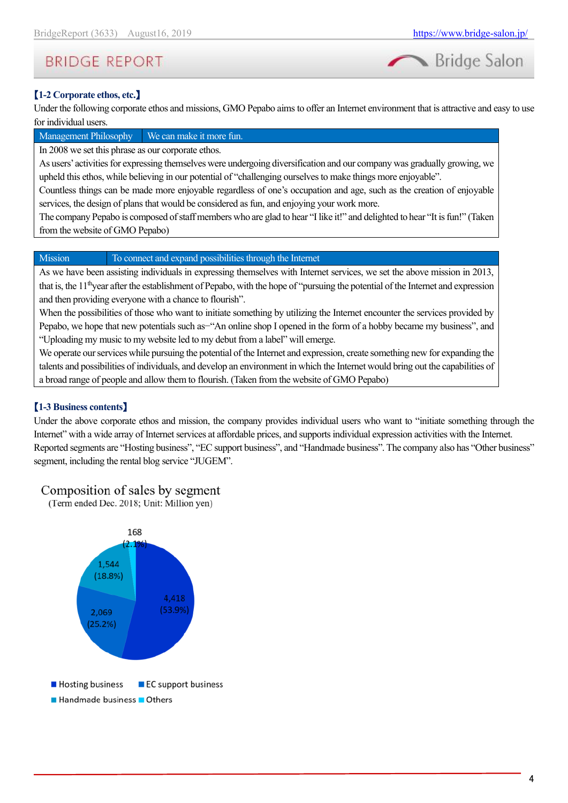Bridge Salon

# **BRIDGE REPORT**

# 【**1-2 Corporate ethos, etc.**】

Under the following corporate ethos and missions, GMO Pepabo aims to offer an Internet environment that is attractive and easy to use for individual users.

#### Management Philosophy We can make it more fun.

In 2008 we set this phrase as our corporate ethos.

As users' activities for expressing themselves were undergoing diversification and our company was gradually growing, we upheld this ethos, while believing in our potential of "challenging ourselves to make things more enjoyable".

Countless things can be made more enjoyable regardless of one's occupation and age, such as the creation of enjoyable services, the design of plans that would be considered as fun, and enjoying your work more.

The company Pepabo is composed of staff members who are glad to hear "I like it!" and delighted to hear "It is fun!" (Taken from the website of GMO Pepabo)

#### Mission To connect and expand possibilities through the Internet

As we have been assisting individuals in expressing themselves with Internet services, we set the above mission in 2013, that is, the 11thyear after the establishment of Pepabo, with the hope of "pursuing the potential of the Internet and expression and then providing everyone with a chance to flourish".

When the possibilities of those who want to initiate something by utilizing the Internet encounter the services provided by Pepabo, we hope that new potentials such as-"An online shop I opened in the form of a hobby became my business", and "Uploading my music to my website led to my debut from a label" will emerge.

We operate our services while pursuing the potential of the Internet and expression, create something new for expanding the talents and possibilities of individuals, and develop an environment in which the Internet would bring out the capabilities of a broad range of people and allow them to flourish. (Taken from the website of GMO Pepabo)

#### 【**1-3 Business contents**】

Under the above corporate ethos and mission, the company provides individual users who want to "initiate something through the Internet" with a wide array of Internet services at affordable prices, and supports individual expression activities with the Internet. Reported segments are "Hosting business", "EC support business", and "Handmade business". The company also has "Other business" segment, including the rental blog service "JUGEM".

### Composition of sales by segment

(Term ended Dec. 2018; Unit: Million yen)

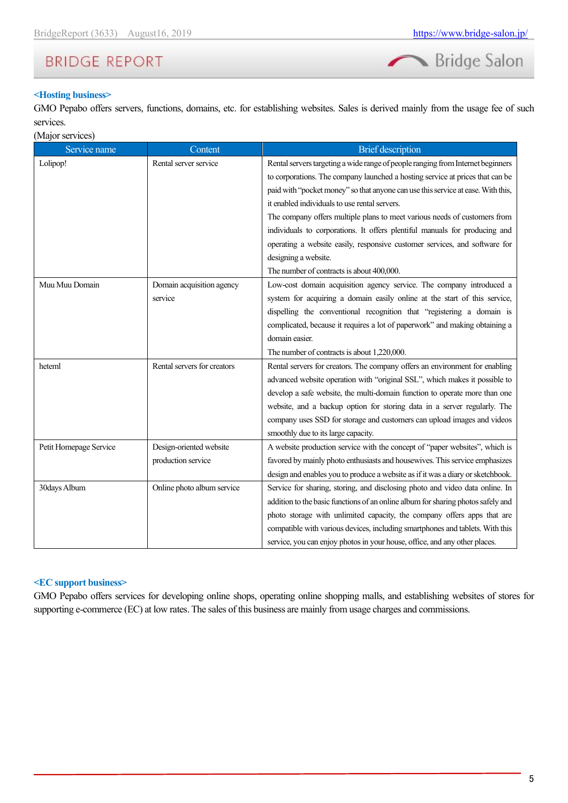

#### **<Hosting business>**

GMO Pepabo offers servers, functions, domains, etc. for establishing websites. Sales is derived mainly from the usage fee of such services.

| (Major services) |  |
|------------------|--|
|                  |  |
|                  |  |

| Service name           | Content                     | <b>Brief</b> description                                                         |  |  |  |
|------------------------|-----------------------------|----------------------------------------------------------------------------------|--|--|--|
| Lolipop!               | Rental server service       | Rental servers targeting a wide range of people ranging from Internet beginners  |  |  |  |
|                        |                             | to corporations. The company launched a hosting service at prices that can be    |  |  |  |
|                        |                             | paid with "pocket money" so that anyone can use this service at ease. With this, |  |  |  |
|                        |                             | it enabled individuals to use rental servers.                                    |  |  |  |
|                        |                             | The company offers multiple plans to meet various needs of customers from        |  |  |  |
|                        |                             | individuals to corporations. It offers plentiful manuals for producing and       |  |  |  |
|                        |                             | operating a website easily, responsive customer services, and software for       |  |  |  |
|                        |                             | designing a website.                                                             |  |  |  |
|                        |                             | The number of contracts is about 400,000.                                        |  |  |  |
| Muu Muu Domain         | Domain acquisition agency   | Low-cost domain acquisition agency service. The company introduced a             |  |  |  |
|                        | service                     | system for acquiring a domain easily online at the start of this service,        |  |  |  |
|                        |                             | dispelling the conventional recognition that "registering a domain is            |  |  |  |
|                        |                             | complicated, because it requires a lot of paperwork" and making obtaining a      |  |  |  |
|                        |                             | domain easier.                                                                   |  |  |  |
|                        |                             | The number of contracts is about 1,220,000.                                      |  |  |  |
| heteml                 | Rental servers for creators | Rental servers for creators. The company offers an environment for enabling      |  |  |  |
|                        |                             | advanced website operation with "original SSL", which makes it possible to       |  |  |  |
|                        |                             | develop a safe website, the multi-domain function to operate more than one       |  |  |  |
|                        |                             | website, and a backup option for storing data in a server regularly. The         |  |  |  |
|                        |                             | company uses SSD for storage and customers can upload images and videos          |  |  |  |
|                        |                             | smoothly due to its large capacity.                                              |  |  |  |
| Petit Homepage Service | Design-oriented website     | A website production service with the concept of "paper websites", which is      |  |  |  |
|                        | production service          | favored by mainly photo enthusiasts and housewives. This service emphasizes      |  |  |  |
|                        |                             | design and enables you to produce a website as if it was a diary or sketchbook.  |  |  |  |
| 30days Album           | Online photo album service  | Service for sharing, storing, and disclosing photo and video data online. In     |  |  |  |
|                        |                             | addition to the basic functions of an online album for sharing photos safely and |  |  |  |
|                        |                             | photo storage with unlimited capacity, the company offers apps that are          |  |  |  |
|                        |                             | compatible with various devices, including smartphones and tablets. With this    |  |  |  |
|                        |                             | service, you can enjoy photos in your house, office, and any other places.       |  |  |  |

#### **<EC support business>**

GMO Pepabo offers services for developing online shops, operating online shopping malls, and establishing websites of stores for supporting e-commerce (EC) at low rates. The sales of this business are mainly from usage charges and commissions.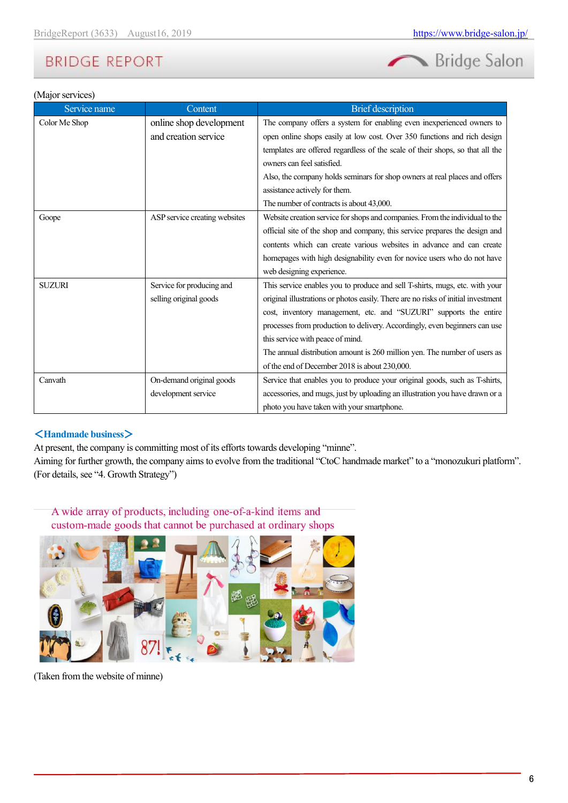

#### (Major services)

| Service name  | Content                       | <b>Brief</b> description                                                          |
|---------------|-------------------------------|-----------------------------------------------------------------------------------|
| Color Me Shop | online shop development       | The company offers a system for enabling even inexperienced owners to             |
|               | and creation service          | open online shops easily at low cost. Over 350 functions and rich design          |
|               |                               | templates are offered regardless of the scale of their shops, so that all the     |
|               |                               | owners can feel satisfied.                                                        |
|               |                               | Also, the company holds seminars for shop owners at real places and offers        |
|               |                               | assistance actively for them.                                                     |
|               |                               | The number of contracts is about 43,000.                                          |
| Goope         | ASP service creating websites | Website creation service for shops and companies. From the individual to the      |
|               |                               | official site of the shop and company, this service prepares the design and       |
|               |                               | contents which can create various websites in advance and can create              |
|               |                               | homepages with high designability even for novice users who do not have           |
|               |                               | web designing experience.                                                         |
| <b>SUZURI</b> | Service for producing and     | This service enables you to produce and sell T-shirts, mugs, etc. with your       |
|               | selling original goods        | original illustrations or photos easily. There are no risks of initial investment |
|               |                               | cost, inventory management, etc. and "SUZURI" supports the entire                 |
|               |                               | processes from production to delivery. Accordingly, even beginners can use        |
|               |                               | this service with peace of mind.                                                  |
|               |                               | The annual distribution amount is 260 million yen. The number of users as         |
|               |                               | of the end of December 2018 is about 230,000.                                     |
| Canvath       | On-demand original goods      | Service that enables you to produce your original goods, such as T-shirts,        |
|               | development service           | accessories, and mugs, just by uploading an illustration you have drawn or a      |
|               |                               | photo you have taken with your smartphone.                                        |

#### <**Handmade business**>

At present, the company is committing most of its efforts towards developing "minne".

Aiming for further growth, the company aims to evolve from the traditional "CtoC handmade market" to a "monozukuri platform". (For details, see "4. Growth Strategy")

A wide array of products, including one-of-a-kind items and custom-made goods that cannot be purchased at ordinary shops



(Taken from the website of minne)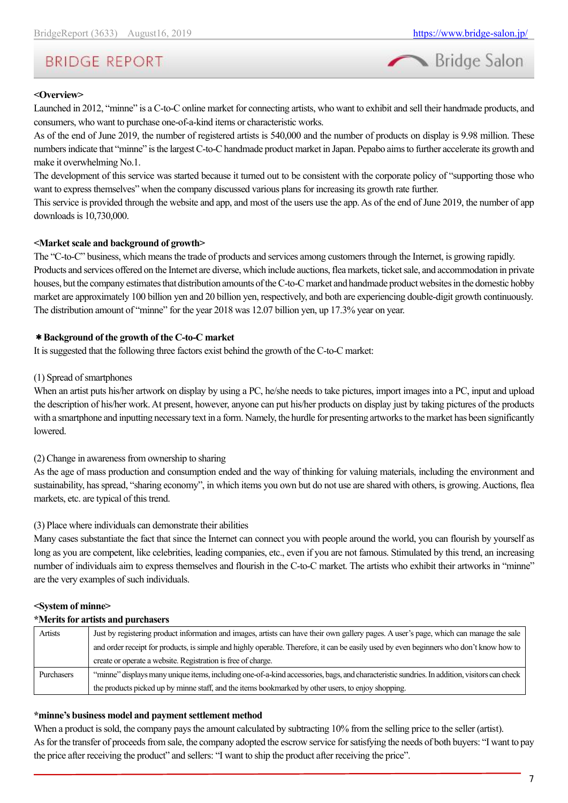

#### **<Overview>**

Launched in 2012, "minne" is a C-to-C online market for connecting artists, who want to exhibit and sell their handmade products, and consumers, who want to purchase one-of-a-kind items or characteristic works.

As of the end of June 2019, the number of registered artists is 540,000 and the number of products on display is 9.98 million. These numbers indicate that "minne" is the largest C-to-C handmade product market in Japan. Pepabo aims to further accelerate its growth and make it overwhelming No.1.

The development of this service was started because it turned out to be consistent with the corporate policy of "supporting those who want to express themselves" when the company discussed various plans for increasing its growth rate further.

This service is provided through the website and app, and most of the users use the app. As of the end of June 2019, the number of app downloads is 10,730,000.

#### **<Market scale and background of growth>**

The "C-to-C" business, which means the trade of products and services among customers through the Internet, is growing rapidly.

Products and services offered on the Internet are diverse, which include auctions, flea markets, ticket sale, and accommodation in private houses, but the company estimates that distribution amounts of the C-to-C market and handmade product websites in the domestic hobby market are approximately 100 billion yen and 20 billion yen, respectively, and both are experiencing double-digit growth continuously. The distribution amount of "minne" for the year 2018 was 12.07 billion yen, up 17.3% year on year.

#### \***Background of the growth of the C-to-C market**

It is suggested that the following three factors exist behind the growth of the C-to-C market:

#### (1) Spread of smartphones

When an artist puts his/her artwork on display by using a PC, he/she needs to take pictures, import images into a PC, input and upload the description of his/her work. At present, however, anyone can put his/her products on display just by taking pictures of the products with a smartphone and inputting necessary text in a form. Namely, the hurdle for presenting artworks to the market has been significantly lowered.

(2) Change in awareness from ownership to sharing

As the age of mass production and consumption ended and the way of thinking for valuing materials, including the environment and sustainability, has spread, "sharing economy", in which items you own but do not use are shared with others, is growing. Auctions, flea markets, etc. are typical of this trend.

#### (3) Place where individuals can demonstrate their abilities

Many cases substantiate the fact that since the Internet can connect you with people around the world, you can flourish by yourself as long as you are competent, like celebrities, leading companies, etc., even if you are not famous. Stimulated by this trend, an increasing number of individuals aim to express themselves and flourish in the C-to-C market. The artists who exhibit their artworks in "minne" are the very examples of such individuals.

#### **<System of minne>**

#### **\*Merits for artists and purchasers**

| Artists    | Just by registering product information and images, artists can have their own gallery pages. A user's page, which can manage the sale      |
|------------|---------------------------------------------------------------------------------------------------------------------------------------------|
|            | and order receipt for products, is simple and highly operable. Therefore, it can be easily used by even beginners who don't know how to     |
|            | create or operate a website. Registration is free of charge.                                                                                |
| Purchasers | "minne" displays many unique items, including one-of-a-kind accessories, bags, and characteristic sundries. In addition, visitors can check |
|            | the products picked up by minne staff, and the items bookmarked by other users, to enjoy shopping.                                          |

#### **\*minne's business model and payment settlement method**

When a product is sold, the company pays the amount calculated by subtracting 10% from the selling price to the seller (artist). As for the transfer of proceeds from sale, the company adopted the escrow service for satisfying the needs of both buyers: "I want to pay the price after receiving the product" and sellers: "I want to ship the product after receiving the price".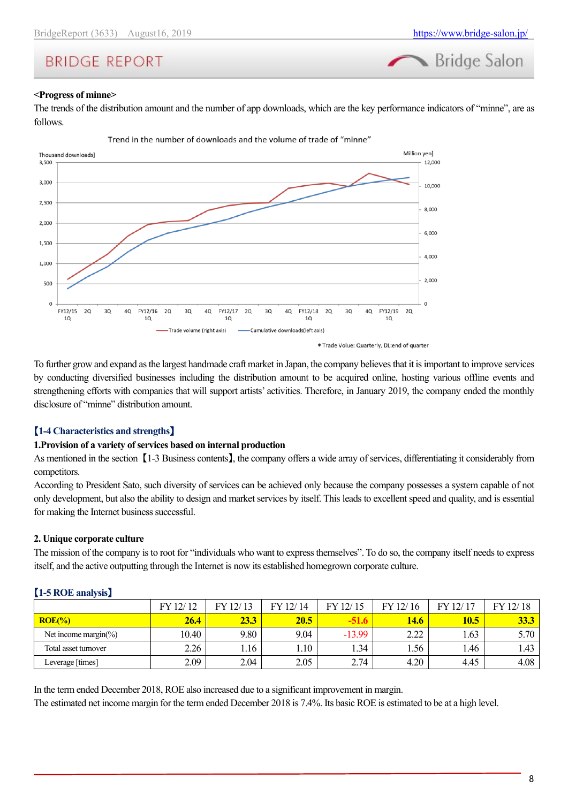Bridge Salon

# **BRIDGE REPORT**

#### **<Progress of minne>**

The trends of the distribution amount and the number of app downloads, which are the key performance indicators of "minne", are as follows.



To further grow and expand as the largest handmade craft market in Japan, the company believes that it is important to improve services by conducting diversified businesses including the distribution amount to be acquired online, hosting various offline events and strengthening efforts with companies that will support artists' activities. Therefore, in January 2019, the company ended the monthly disclosure of "minne" distribution amount.

#### 【**1-4 Characteristics and strengths**】

#### **1.Provision of a variety of services based on internal production**

As mentioned in the section 【1-3 Business contents】, the company offers a wide array of services, differentiating it considerably from competitors.

According to President Sato, such diversity of services can be achieved only because the company possesses a system capable of not only development, but also the ability to design and market services by itself. This leads to excellent speed and quality, and is essential for making the Internet business successful.

#### **2. Unique corporate culture**

The mission of the company is to root for "individuals who want to express themselves". To do so, the company itself needs to express itself, and the active outputting through the Internet is now its established homegrown corporate culture.

| $\mathbf{F}$ . $\mathbf{F}$ . The second $\mathbf{F}$ |             |       |          |             |              |             |             |  |  |
|-------------------------------------------------------|-------------|-------|----------|-------------|--------------|-------------|-------------|--|--|
|                                                       | FY 12/12    | 12/13 | FY 12/14 | 12/15<br>FY | 12/16<br>FY. | 12/17<br>EV | FY 12/18    |  |  |
| $ROE(\% )$                                            | <b>26.4</b> | 23.3  | 20.5     |             | <b>14.6</b>  | 10.5        | <u>33.3</u> |  |  |
| Net income margin( $\%$ )                             | 10.40       | 9.80  | 9.04     | $-13.99$    | 2.22         | 1.63        | 5.70        |  |  |
| Total asset turnover                                  | 2.26        | 1.16  | .10      | 1.34        | 1.56         | .46         | 1.43        |  |  |
| Leverage [times]                                      | 2.09        | 2.04  | 2.05     | 2.74        | 4.20         | 4.45        | 4.08        |  |  |

#### 【**1-5 ROE analysis**】

In the term ended December 2018, ROE also increased due to a significant improvement in margin.

The estimated net income margin for the term ended December 2018 is 7.4%. Its basic ROE is estimated to be at a high level.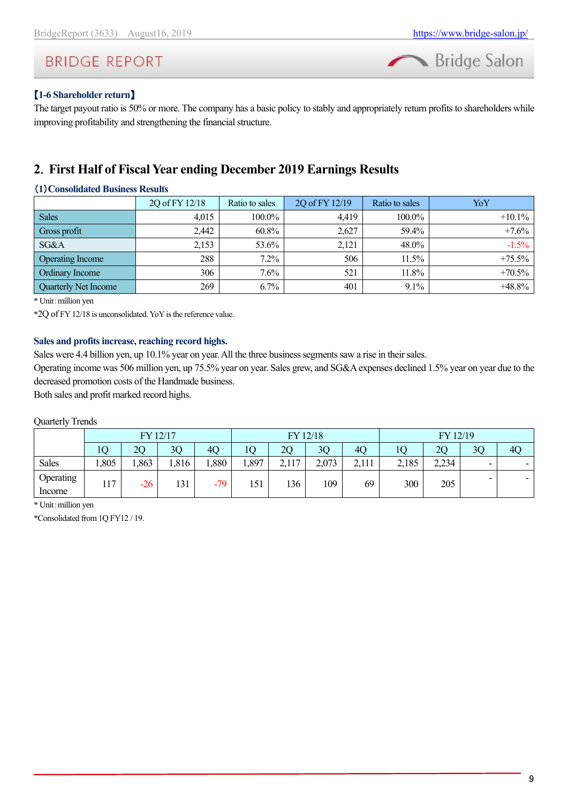

#### 【**1-6 Shareholder return**】

The target payout ratio is 50% or more. The company has a basic policy to stably and appropriately return profits to shareholders while improving profitability and strengthening the financial structure.

## <span id="page-8-0"></span>**2**.**First Half of Fiscal Year ending December 2019 Earnings Results**

#### (**1**)**Consolidated Business Results**

|                             | 2Q of FY 12/18 | Ratio to sales | 2Q of FY 12/19 | Ratio to sales | YoY       |
|-----------------------------|----------------|----------------|----------------|----------------|-----------|
| <b>Sales</b>                | 4.015          | 100.0%         | 4.419          | $100.0\%$      | $+10.1\%$ |
| Gross profit                | 2,442          | 60.8%          | 2.627          | 59.4%          | $+7.6%$   |
| SG&A                        | 2,153          | 53.6%          | 2,121          | 48.0%          | $-1.5\%$  |
| <b>Operating Income</b>     | 288            | $7.2\%$        | 506            | $11.5\%$       | $+75.5\%$ |
| Ordinary Income             | 306            | $7.6\%$        | 521            | 11.8%          | $+70.5\%$ |
| <b>Quarterly Net Income</b> | 269            | 6.7%           | 401            | $9.1\%$        | $+48.8\%$ |

\* Unit:million yen

\*2Q of FY 12/18 is unconsolidated.YoY is the reference value.

#### **Sales and profits increase, reaching record highs.**

Sales were 4.4 billion yen, up 10.1% year on year. All the three business segments saw a rise in their sales.

Operating income was 506 million yen, up 75.5% year on year. Sales grew, and SG&A expenses declined 1.5% year on year due to the decreased promotion costs of the Handmade business.

Both sales and profit marked record highs.

#### Quarterly Trends

|                     | FY 12/17 |       |       | FY 12/18 |       |       |       | FY 12/19       |       |       |    |    |
|---------------------|----------|-------|-------|----------|-------|-------|-------|----------------|-------|-------|----|----|
|                     | 10       | 20    | 3Q    | 40       | lО    | 2Q    | 3Q    | 4 <sub>O</sub> | 10    | 2Q    | 3Q | 4Q |
| <b>Sales</b>        | 1,805    | 1,863 | 1,816 | .,880    | 1,897 | 2,117 | 2,073 | 2,111          | 2,185 | 2,234 | -  |    |
| Operating<br>Income | 117      | $-26$ | 131   | $-79$    | 151   | 136   | 109   | 69             | 300   | 205   | -  |    |

\* Unit:million yen

\*Consolidated from 1Q FY12 / 19.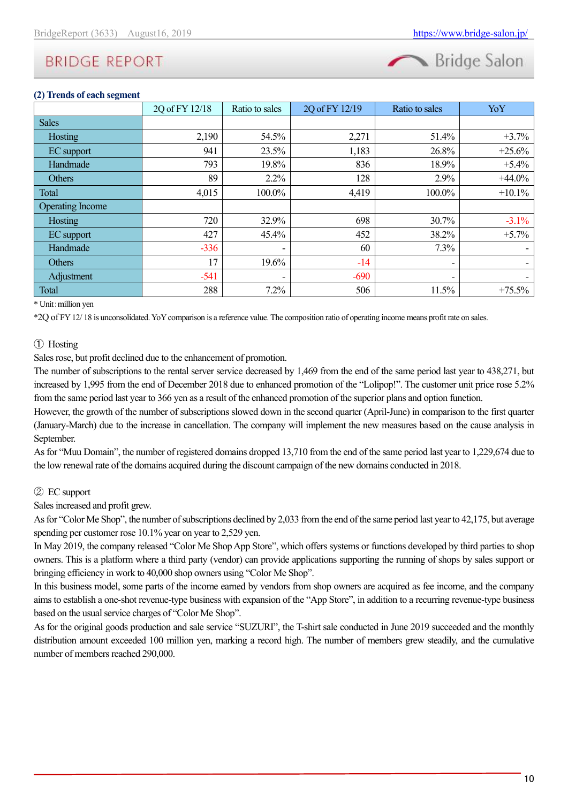

#### **(2) Trends of each segment**

|                         | 2Q of FY 12/18 | Ratio to sales | 2Q of FY 12/19 | Ratio to sales | YoY      |
|-------------------------|----------------|----------------|----------------|----------------|----------|
| <b>Sales</b>            |                |                |                |                |          |
| Hosting                 | 2,190          | 54.5%          | 2,271          | 51.4%          | $+3.7%$  |
| EC support              | 941            | 23.5%          | 1,183          | 26.8%          | $+25.6%$ |
| Handmade                | 793            | 19.8%          | 836            | 18.9%          | $+5.4%$  |
| Others                  | 89             | $2.2\%$        | 128            | 2.9%           | $+44.0%$ |
| Total                   | 4,015          | 100.0%         | 4,419          | 100.0%         | $+10.1%$ |
| <b>Operating Income</b> |                |                |                |                |          |
| Hosting                 | 720            | 32.9%          | 698            | 30.7%          | $-3.1%$  |
| EC support              | 427            | 45.4%          | 452            | 38.2%          | $+5.7%$  |
| Handmade                | $-336$         |                | 60             | 7.3%           |          |
| Others                  | 17             | 19.6%          | $-14$          | -              |          |
| Adjustment              | $-541$         | ٠              | $-690$         | ٠              |          |
| Total                   | 288            | 7.2%           | 506            | 11.5%          | $+75.5%$ |

\* Unit:million yen

\*2Q of FY 12/ 18 is unconsolidated. YoYcomparison is a reference value. The composition ratio of operating income means profit rate on sales.

#### ① Hosting

Sales rose, but profit declined due to the enhancement of promotion.

The number of subscriptions to the rental server service decreased by 1,469 from the end of the same period last year to 438,271, but increased by 1,995 from the end of December 2018 due to enhanced promotion of the "Lolipop!". The customer unit price rose 5.2% from the same period last year to 366 yen as a result of the enhanced promotion of the superior plans and option function.

However, the growth of the number of subscriptions slowed down in the second quarter (April-June) in comparison to the first quarter (January-March) due to the increase in cancellation. The company will implement the new measures based on the cause analysis in September.

As for "Muu Domain", the number of registered domains dropped 13,710 from the end of the same period last year to 1,229,674 due to the low renewal rate of the domains acquired during the discount campaign of the new domains conducted in 2018.

#### ② EC support

Sales increased and profit grew.

As for "Color Me Shop", the number of subscriptions declined by 2,033 from the end of the same period last year to 42,175, but average spending per customer rose 10.1% year on year to 2,529 yen.

In May 2019, the company released "Color Me Shop App Store", which offers systems or functions developed by third parties to shop owners. This is a platform where a third party (vendor) can provide applications supporting the running of shops by sales support or bringing efficiency in work to 40,000 shop owners using "Color Me Shop".

In this business model, some parts of the income earned by vendors from shop owners are acquired as fee income, and the company aims to establish a one-shot revenue-type business with expansion of the "App Store", in addition to a recurring revenue-type business based on the usual service charges of "Color Me Shop".

As for the original goods production and sale service "SUZURI", the T-shirt sale conducted in June 2019 succeeded and the monthly distribution amount exceeded 100 million yen, marking a record high. The number of members grew steadily, and the cumulative number of members reached 290,000.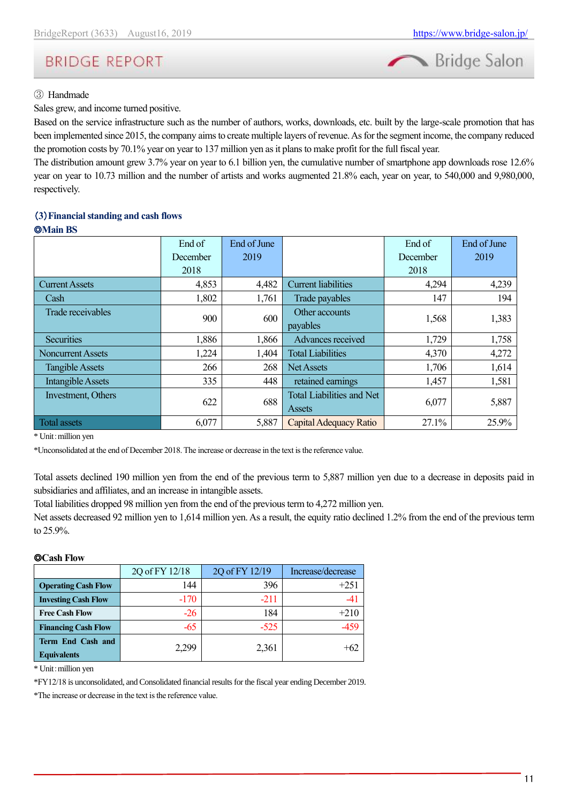

#### ③ Handmade

Sales grew, and income turned positive.

Based on the service infrastructure such as the number of authors, works, downloads, etc. built by the large-scale promotion that has been implemented since 2015, the company aims to create multiple layers of revenue. As for the segment income, the company reduced the promotion costs by 70.1% year on year to 137 million yen as it plans to make profit for the full fiscal year.

The distribution amount grew 3.7% year on year to 6.1 billion yen, the cumulative number of smartphone app downloads rose 12.6% year on year to 10.73 million and the number of artists and works augmented 21.8% each, year on year, to 540,000 and 9,980,000, respectively.

### (**3**)**Financial standing and cash flows**

◎**Main BS**

|                          | End of   | End of June |                                  | End of   | End of June |  |
|--------------------------|----------|-------------|----------------------------------|----------|-------------|--|
|                          | December | 2019        |                                  | December | 2019        |  |
|                          | 2018     |             |                                  | 2018     |             |  |
| <b>Current Assets</b>    | 4,853    | 4,482       | <b>Current liabilities</b>       | 4,294    | 4,239       |  |
| Cash                     | 1,802    | 1,761       | Trade payables                   | 147      | 194         |  |
| Trade receivables        | 900      | 600         | Other accounts                   | 1,568    | 1,383       |  |
|                          |          |             | payables                         |          |             |  |
| Securities               | 1,886    | 1,866       | Advances received                | 1,729    | 1,758       |  |
| <b>Noncurrent Assets</b> | 1,224    | 1,404       | <b>Total Liabilities</b>         | 4,370    | 4,272       |  |
| <b>Tangible Assets</b>   | 266      | 268         | <b>Net Assets</b>                | 1,706    | 1,614       |  |
| Intangible Assets        | 335      | 448         | retained earnings                | 1,457    | 1,581       |  |
| Investment, Others       | 622      | 688         | <b>Total Liabilities and Net</b> | 6,077    | 5,887       |  |
|                          |          |             | Assets                           |          |             |  |
| Total assets             | 6,077    | 5,887       | Capital Adequacy Ratio           | 27.1%    | 25.9%       |  |

\* Unit:million yen

\*Unconsolidated at the end of December 2018. The increase or decrease in the text is the reference value.

Total assets declined 190 million yen from the end of the previous term to 5,887 million yen due to a decrease in deposits paid in subsidiaries and affiliates, and an increase in intangible assets.

Total liabilities dropped 98 million yen from the end of the previous term to 4,272 million yen.

Net assets decreased 92 million yen to 1,614 million yen. As a result, the equity ratio declined 1.2% from the end of the previous term to 25.9%.

#### ◎**Cash Flow**

|                                         | 2Q of FY 12/18 | 2Q of FY 12/19 | Increase/decrease |
|-----------------------------------------|----------------|----------------|-------------------|
| <b>Operating Cash Flow</b>              | 144            | 396            | $+251$            |
| <b>Investing Cash Flow</b>              | $-170$         | $-211$         |                   |
| <b>Free Cash Flow</b>                   | $-26$          | 184            | $+210$            |
| <b>Financing Cash Flow</b>              | -65            | $-525$         |                   |
| Term End Cash and<br><b>Equivalents</b> | 2.299          | 2,361          | $+62$             |

\* Unit:million yen

\*FY12/18 is unconsolidated, and Consolidated financial results for the fiscal year ending December 2019.

\*The increase or decrease in the text is the reference value.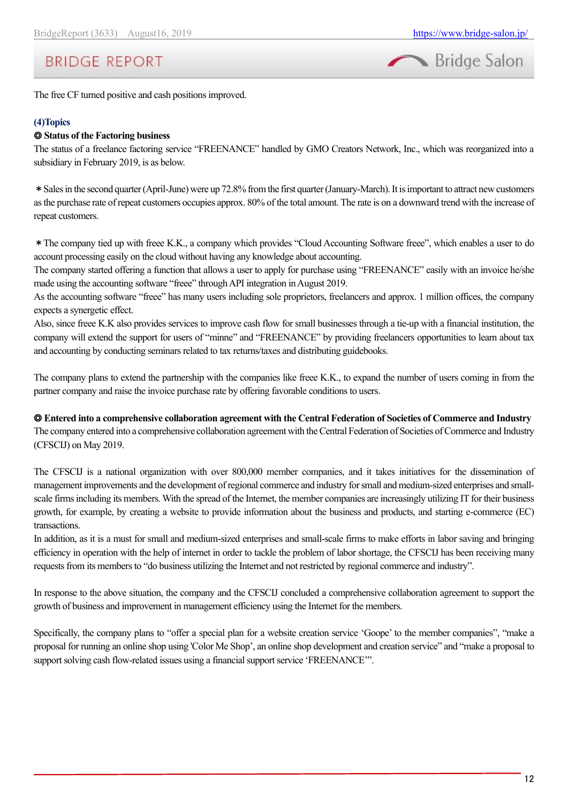

The free CF turned positive and cash positions improved.

#### **(4)Topics**

#### ◎ **Status of the Factoring business**

The status of a freelance factoring service "FREENANCE" handled by GMO Creators Network, Inc., which was reorganized into a subsidiary in February 2019, is as below.

\*Sales in the second quarter (April-June) were up 72.8% from the first quarter (January-March). It is important to attract new customers as the purchase rate of repeat customers occupies approx. 80% of the total amount. The rate is on a downward trend with the increase of repeat customers.

\*The company tied up with freee K.K., a company which provides "Cloud Accounting Software freee", which enables a user to do account processing easily on the cloud without having any knowledge about accounting.

The company started offering a function that allows a user to apply for purchase using "FREENANCE" easily with an invoice he/she made using the accounting software "freee" through API integration in August 2019.

As the accounting software "freee" has many users including sole proprietors, freelancers and approx. 1 million offices, the company expects a synergetic effect.

Also, since freee K.K also provides services to improve cash flow for small businesses through a tie-up with a financial institution, the company will extend the support for users of "minne" and "FREENANCE" by providing freelancers opportunities to learn about tax and accounting by conducting seminars related to tax returns/taxes and distributing guidebooks.

The company plans to extend the partnership with the companies like freee K.K., to expand the number of users coming in from the partner company and raise the invoice purchase rate by offering favorable conditions to users.

◎ **Entered into a comprehensive collaboration agreement with the Central Federation of Societies of Commerce and Industry**

The company entered into a comprehensive collaboration agreement with the Central Federation of Societies of Commerce and Industry (CFSCIJ) on May 2019.

The CFSCIJ is a national organization with over 800,000 member companies, and it takes initiatives for the dissemination of management improvements and the development of regional commerce and industry for small and medium-sized enterprises and smallscale firms including its members. With the spread of the Internet, the member companies are increasingly utilizing IT for their business growth, for example, by creating a website to provide information about the business and products, and starting e-commerce (EC) transactions.

In addition, as it is a must for small and medium-sized enterprises and small-scale firms to make efforts in labor saving and bringing efficiency in operation with the help of internet in order to tackle the problem of labor shortage, the CFSCIJ has been receiving many requests from its members to "do business utilizing the Internet and not restricted by regional commerce and industry".

In response to the above situation, the company and the CFSCIJ concluded a comprehensive collaboration agreement to support the growth of business and improvement in management efficiency using the Internet for the members.

Specifically, the company plans to "offer a special plan for a website creation service 'Goope' to the member companies", "make a proposal for running an online shop using 'Color Me Shop', an online shop development and creation service" and "make a proposal to support solving cash flow-related issues using a financial support service 'FREENANCE'".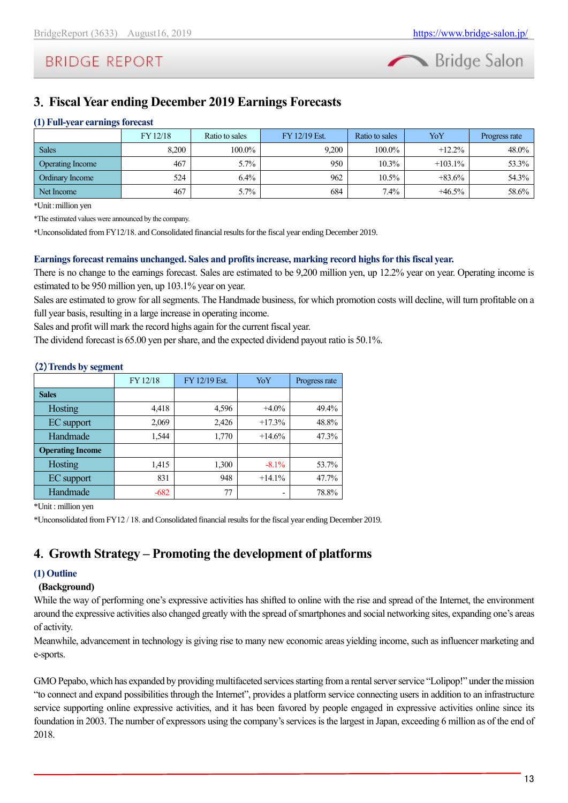

# <span id="page-12-0"></span>**3**.**Fiscal Year ending December 2019 Earnings Forecasts**

### **(1) Full-year earnings forecast**

|                         | FY 12/18 | Ratio to sales | FY 12/19 Est. | Ratio to sales | YoY        | Progress rate |
|-------------------------|----------|----------------|---------------|----------------|------------|---------------|
| <b>Sales</b>            | 8.200    | 100.0%         | 9.200         | 100.0%         | $+12.2\%$  | 48.0%         |
| <b>Operating Income</b> | 467      | $5.7\%$        | 950           | $10.3\%$       | $+103.1\%$ | 53.3%         |
| <b>Ordinary Income</b>  | 524      | $6.4\%$        | 962           | $10.5\%$       | $+83.6%$   | 54.3%         |
| Net Income              | 467      | $5.7\%$        | 684           | $7.4\%$        | $+46.5\%$  | 58.6%         |

\*Unit:million yen

\*The estimated values were announced by the company.

\*Unconsolidated from FY12/18. and Consolidated financial results for the fiscal year ending December 2019.

#### **Earnings forecast remains unchanged. Sales and profits increase, marking record highsfor this fiscal year.**

There is no change to the earnings forecast. Sales are estimated to be 9,200 million yen, up 12.2% year on year. Operating income is estimated to be 950 million yen, up 103.1% year on year.

Sales are estimated to grow for all segments. The Handmade business, for which promotion costs will decline, will turn profitable on a full year basis, resulting in a large increase in operating income.

Sales and profit will mark the record highs again for the current fiscal year.

The dividend forecast is 65.00 yen pershare, and the expected dividend payout ratio is 50.1%.

|                         | FY 12/18 | FY 12/19 Est. | YoY      | Progress rate |
|-------------------------|----------|---------------|----------|---------------|
| <b>Sales</b>            |          |               |          |               |
| Hosting                 | 4,418    | 4,596         | $+4.0\%$ | 49.4%         |
| EC support              | 2,069    | 2,426         | $+17.3%$ | 48.8%         |
| Handmade                | 1,544    | 1,770         | $+14.6%$ | 47.3%         |
| <b>Operating Income</b> |          |               |          |               |
| Hosting                 | 1,415    | 1,300         | $-8.1\%$ | 53.7%         |
| EC support              | 831      | 948           | $+14.1%$ | 47.7%         |
| Handmade                | $-682$   | 77            |          | 78.8%         |

#### (**2**)**Trends by segment**

\*Unit : million yen

\*Unconsolidated from FY12 / 18. and Consolidated financial results for the fiscal year ending December 2019.

### <span id="page-12-1"></span>**4**.**Growth Strategy – Promoting the development of platforms**

#### **(1) Outline**

#### **(Background)**

While the way of performing one's expressive activities has shifted to online with the rise and spread of the Internet, the environment around the expressive activities also changed greatly with the spread of smartphones and social networking sites, expanding one's areas of activity.

Meanwhile, advancement in technology is giving rise to many new economic areas yielding income, such as influencer marketing and e-sports.

GMO Pepabo, which has expanded by providing multifaceted services starting from a rental server service "Lolipop!" under the mission "to connect and expand possibilities through the Internet", provides a platform service connecting users in addition to an infrastructure service supporting online expressive activities, and it has been favored by people engaged in expressive activities online since its foundation in 2003. The number of expressors using the company's services is the largest in Japan, exceeding 6 million as of the end of 2018.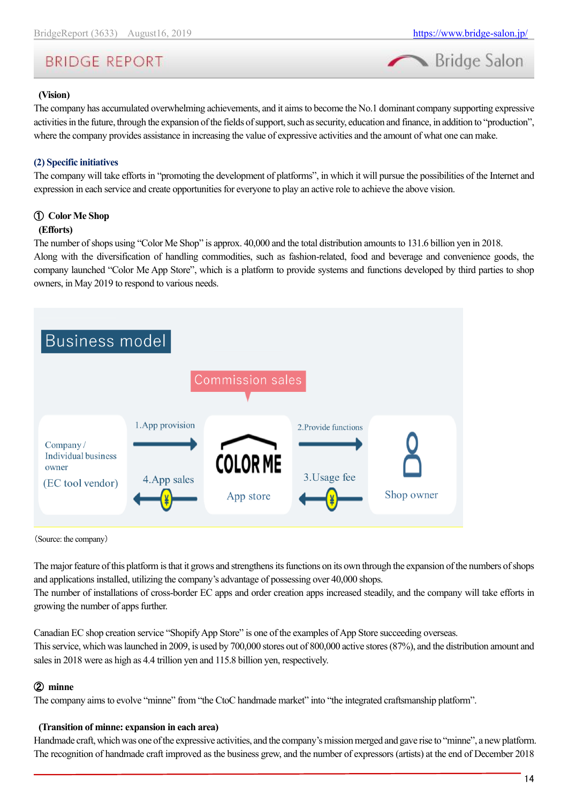

#### **(Vision)**

The company has accumulated overwhelming achievements, and it aims to become the No.1 dominant company supporting expressive activities in the future, through the expansion of the fields of support, such as security, education and finance, in addition to "production", where the company provides assistance in increasing the value of expressive activities and the amount of what one can make.

#### **(2) Specific initiatives**

The company will take efforts in "promoting the development of platforms", in which it will pursue the possibilities of the Internet and expression in each service and create opportunities for everyone to play an active role to achieve the above vision.

#### ① **Color Me Shop**

#### **(Efforts)**

The number of shops using "Color Me Shop" is approx. 40,000 and the total distribution amounts to 131.6 billion yen in 2018. Along with the diversification of handling commodities, such as fashion-related, food and beverage and convenience goods, the company launched "Color Me App Store", which is a platform to provide systems and functions developed by third parties to shop owners, in May 2019 to respond to various needs.



(Source: the company)

The major feature of this platform is that it grows and strengthens its functions on its own through the expansion of the numbers of shops and applications installed, utilizing the company's advantage of possessing over 40,000 shops.

The number of installations of cross-border EC apps and order creation apps increased steadily, and the company will take efforts in growing the number of apps further.

Canadian EC shop creation service "Shopify App Store" is one of the examples of App Store succeeding overseas. This service, which was launched in 2009, is used by 700,000 stores out of 800,000 active stores (87%), and the distribution amount and sales in 2018 were as high as 4.4 trillion yen and 115.8 billion yen, respectively.

#### ② **minne**

The company aims to evolve "minne" from "the CtoC handmade market" into "the integrated craftsmanship platform".

#### **(Transition of minne: expansion in each area)**

Handmade craft, which was one of the expressive activities, and the company's mission merged and gave rise to "minne", a new platform. The recognition of handmade craft improved as the business grew, and the number of expressors (artists) at the end of December 2018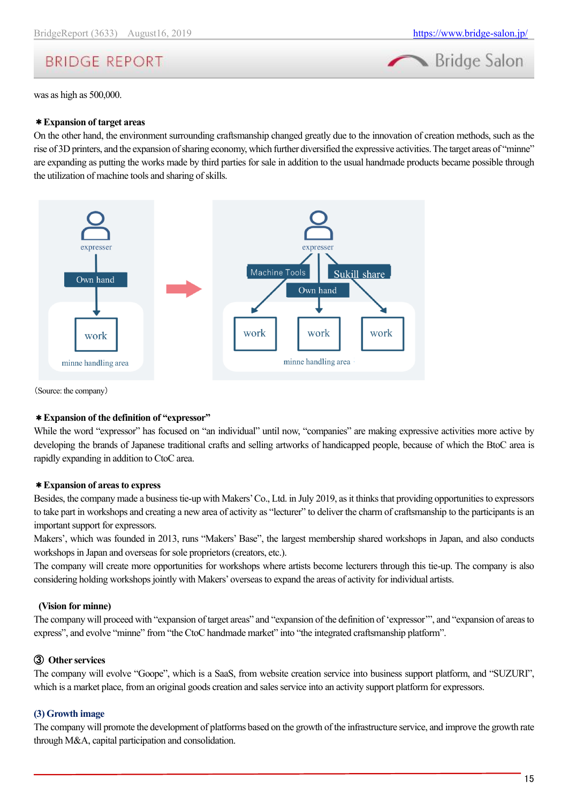

was as high as 500,000.

#### \***Expansion of target areas**

On the other hand, the environment surrounding craftsmanship changed greatly due to the innovation of creation methods, such as the rise of 3D printers, and the expansion of sharing economy, which further diversified the expressive activities. The target areas of "minne" are expanding as putting the works made by third parties for sale in addition to the usual handmade products became possible through the utilization of machine tools and sharing of skills.



(Source: the company)

#### \***Expansion of the definition of "expressor"**

While the word "expressor" has focused on "an individual" until now, "companies" are making expressive activities more active by developing the brands of Japanese traditional crafts and selling artworks of handicapped people, because of which the BtoC area is rapidly expanding in addition to CtoC area.

#### \***Expansion of areas to express**

Besides, the company made a business tie-up with Makers' Co., Ltd. in July 2019, as it thinks that providing opportunities to expressors to take part in workshops and creating a new area of activity as "lecturer" to deliver the charm of craftsmanship to the participants is an important support for expressors.

Makers', which was founded in 2013, runs "Makers' Base", the largest membership shared workshops in Japan, and also conducts workshops in Japan and overseas for sole proprietors (creators, etc.).

The company will create more opportunities for workshops where artists become lecturers through this tie-up. The company is also considering holding workshops jointly with Makers' overseas to expand the areas of activity for individual artists.

#### **(Vision for minne)**

The company will proceed with "expansion of target areas" and "expansion of the definition of 'expressor'", and "expansion of areas to express", and evolve "minne" from "the CtoC handmade market" into "the integrated craftsmanship platform".

#### ③ **Other services**

The company will evolve "Goope", which is a SaaS, from website creation service into business support platform, and "SUZURI", which is a market place, from an original goods creation and sales service into an activity support platform for expressors.

#### **(3) Growth image**

The company will promote the development of platforms based on the growth of the infrastructure service, and improve the growth rate through M&A, capital participation and consolidation.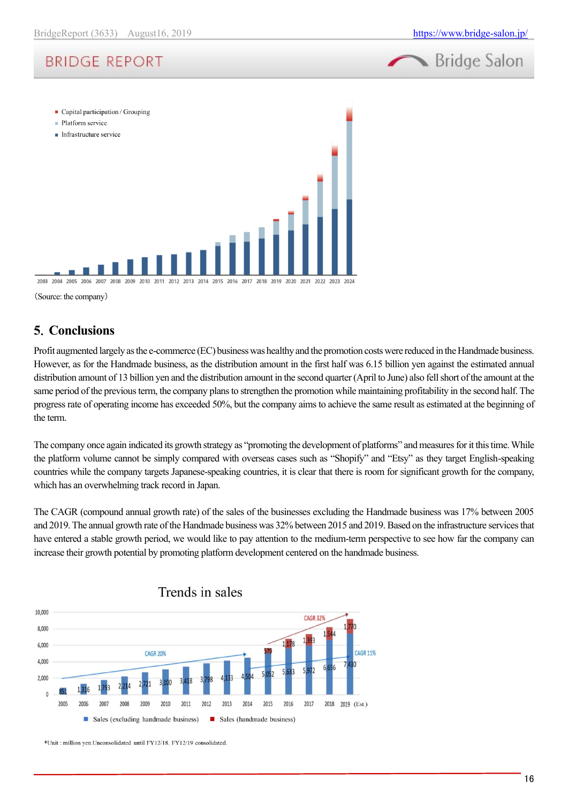



(Source: the company)

### <span id="page-15-0"></span>**5**.**Conclusions**

Profit augmented largely as the e-commerce (EC) business was healthy and the promotion costs were reduced in the Handmade business. However, as for the Handmade business, as the distribution amount in the first half was 6.15 billion yen against the estimated annual distribution amount of 13 billion yen and the distribution amount in the second quarter (April to June) also fell short of the amount at the same period of the previous term, the company plans to strengthen the promotion while maintaining profitability in the second half. The progress rate of operating income has exceeded 50%, but the company aims to achieve the same result as estimated at the beginning of the term.

The company once again indicated its growth strategy as "promoting the development of platforms" and measures for it this time. While the platform volume cannot be simply compared with overseas cases such as "Shopify" and "Etsy" as they target English-speaking countries while the company targets Japanese-speaking countries, it is clear that there is room for significant growth for the company, which has an overwhelming track record in Japan.

The CAGR (compound annual growth rate) of the sales of the businesses excluding the Handmade business was 17% between 2005 and 2019. The annual growth rate of the Handmade business was 32% between 2015 and 2019. Based on the infrastructure services that have entered a stable growth period, we would like to pay attention to the medium-term perspective to see how far the company can increase their growth potential by promoting platform development centered on the handmade business.



\*Unit : million ven.Unconsolidated until FY12/18. FY12/19 consolidated